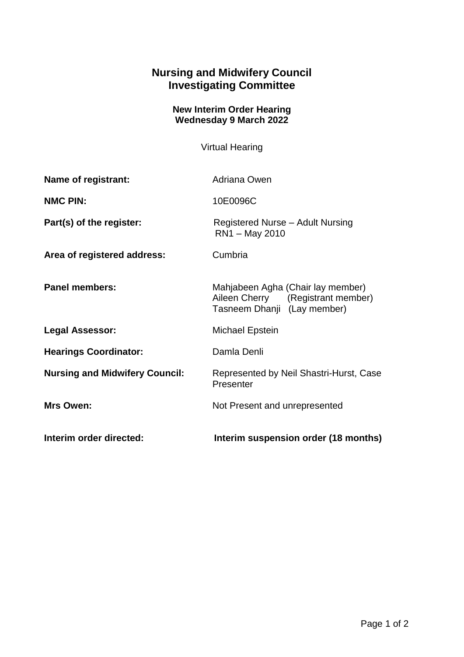## **Nursing and Midwifery Council Investigating Committee**

## **New Interim Order Hearing Wednesday 9 March 2022**

Virtual Hearing

| Name of registrant:                   | Adriana Owen                                                                                          |
|---------------------------------------|-------------------------------------------------------------------------------------------------------|
| <b>NMC PIN:</b>                       | 10E0096C                                                                                              |
| Part(s) of the register:              | Registered Nurse - Adult Nursing<br>RN1 - May 2010                                                    |
| Area of registered address:           | Cumbria                                                                                               |
| <b>Panel members:</b>                 | Mahjabeen Agha (Chair lay member)<br>Aileen Cherry (Registrant member)<br>Tasneem Dhanji (Lay member) |
| <b>Legal Assessor:</b>                | Michael Epstein                                                                                       |
| <b>Hearings Coordinator:</b>          | Damla Denli                                                                                           |
| <b>Nursing and Midwifery Council:</b> | Represented by Neil Shastri-Hurst, Case<br>Presenter                                                  |
| Mrs Owen:                             | Not Present and unrepresented                                                                         |
| Interim order directed:               | Interim suspension order (18 months)                                                                  |